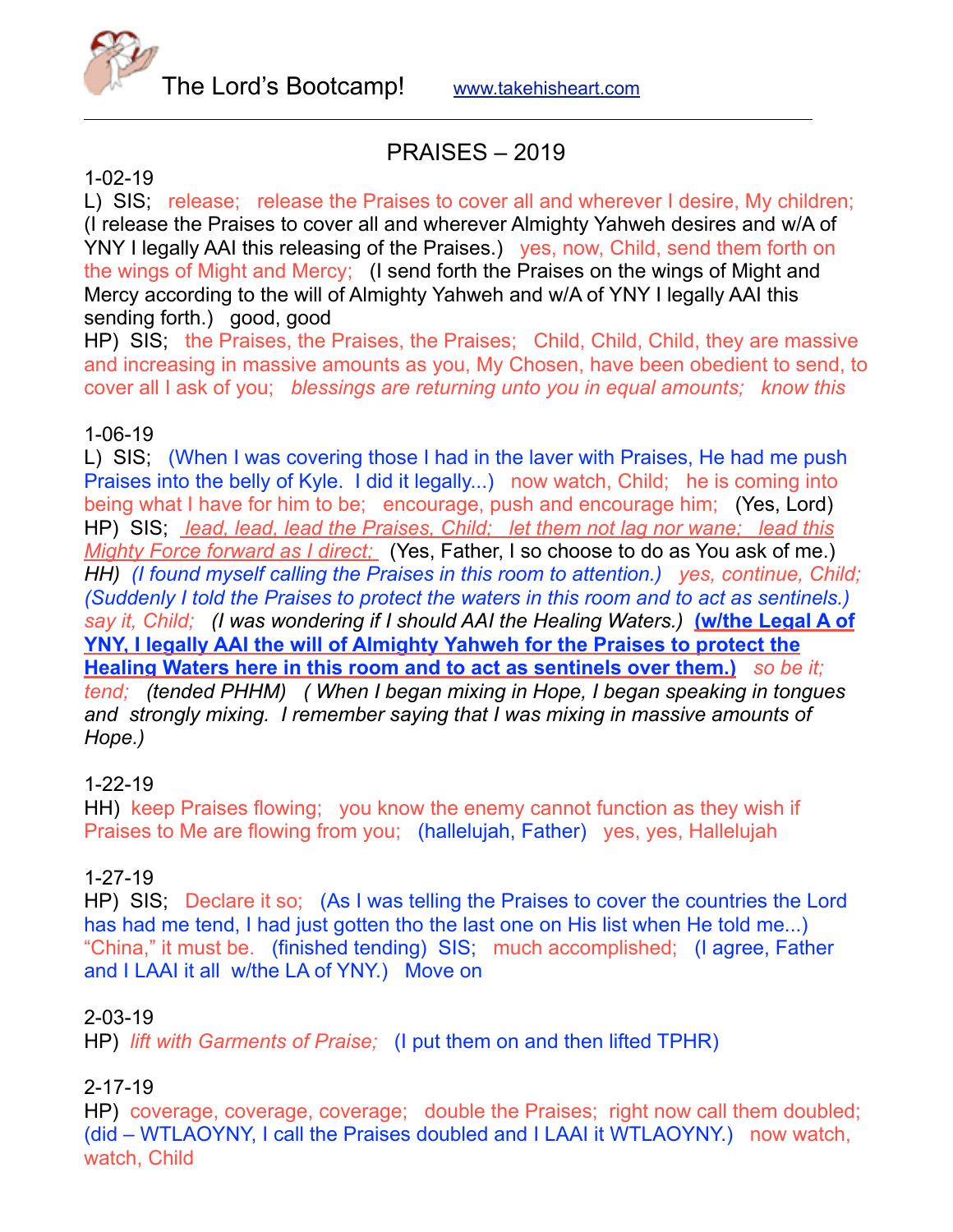

# PRAISES – 2019

### 1-02-19

L) SIS; release; release the Praises to cover all and wherever I desire, My children; (I release the Praises to cover all and wherever Almighty Yahweh desires and w/A of YNY I legally AAI this releasing of the Praises.) yes, now, Child, send them forth on the wings of Might and Mercy; (I send forth the Praises on the wings of Might and Mercy according to the will of Almighty Yahweh and w/A of YNY I legally AAI this sending forth.) good, good

HP) SIS; the Praises, the Praises, the Praises; Child, Child, Child, they are massive and increasing in massive amounts as you, My Chosen, have been obedient to send, to cover all I ask of you; *blessings are returning unto you in equal amounts; know this*

### 1-06-19

L) SIS; (When I was covering those I had in the laver with Praises, He had me push Praises into the belly of Kyle. I did it legally...) now watch, Child; he is coming into being what I have for him to be; encourage, push and encourage him; (Yes, Lord) HP) SIS; *lead, lead, lead the Praises, Child; let them not lag nor wane; lead this Mighty Force forward as I direct;* (Yes, Father, I so choose to do as You ask of me.) *HH) (I found myself calling the Praises in this room to attention.) yes, continue, Child; (Suddenly I told the Praises to protect the waters in this room and to act as sentinels.)*  say it, Child; (I was wondering if I should AAI the Healing Waters.) **(w/the Legal A of YNY, I legally AAI the will of Almighty Yahweh for the Praises to protect the Healing Waters here in this room and to act as sentinels over them.)** *so be it; tend; (tended PHHM) ( When I began mixing in Hope, I began speaking in tongues and strongly mixing. I remember saying that I was mixing in massive amounts of Hope.)* 

#### 1-22-19

HH) keep Praises flowing; you know the enemy cannot function as they wish if Praises to Me are flowing from you; (hallelujah, Father) yes, yes, Hallelujah

### 1-27-19

HP) SIS; Declare it so; (As I was telling the Praises to cover the countries the Lord has had me tend, I had just gotten tho the last one on His list when He told me...) "China," it must be. (finished tending) SIS; much accomplished; (I agree, Father and I LAAI it all w/the LA of YNY.) Move on

### 2-03-19

HP) *lift with Garments of Praise;* (I put them on and then lifted TPHR)

### 2-17-19

HP) coverage, coverage, coverage; double the Praises; right now call them doubled; (did – WTLAOYNY, I call the Praises doubled and I LAAI it WTLAOYNY.) now watch, watch, Child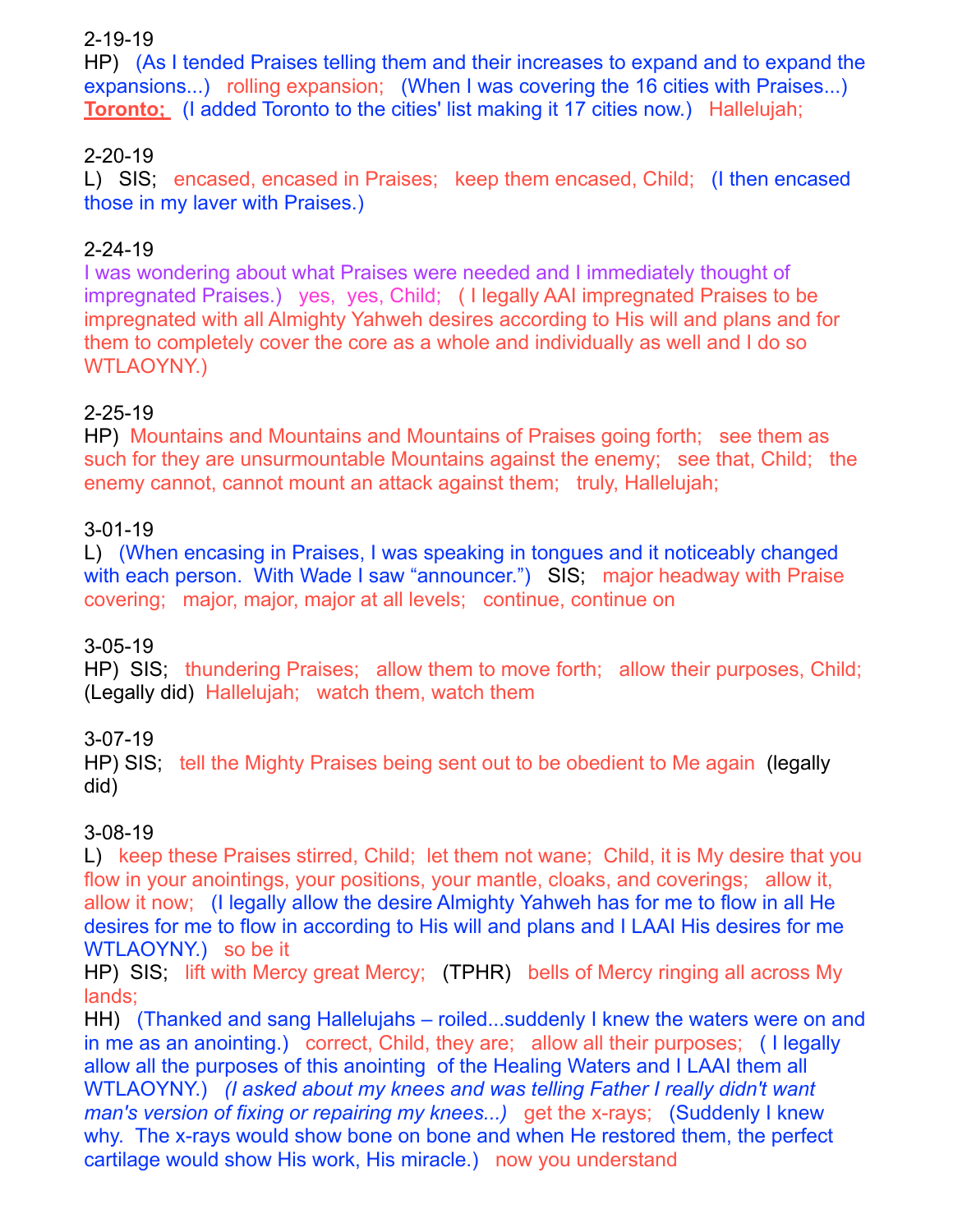### 2-19-19

HP) (As I tended Praises telling them and their increases to expand and to expand the expansions...) rolling expansion; (When I was covering the 16 cities with Praises...) **Toronto:** (I added Toronto to the cities' list making it 17 cities now.) Hallelujah;

### 2-20-19

L) SIS; encased, encased in Praises; keep them encased, Child; (I then encased those in my laver with Praises.)

### 2-24-19

I was wondering about what Praises were needed and I immediately thought of impregnated Praises.) yes, yes, Child; ( I legally AAI impregnated Praises to be impregnated with all Almighty Yahweh desires according to His will and plans and for them to completely cover the core as a whole and individually as well and I do so WTLAOYNY.)

### 2-25-19

HP) Mountains and Mountains and Mountains of Praises going forth; see them as such for they are unsurmountable Mountains against the enemy; see that, Child; the enemy cannot, cannot mount an attack against them; truly, Hallelujah;

### 3-01-19

L) (When encasing in Praises, I was speaking in tongues and it noticeably changed with each person. With Wade I saw "announcer.") SIS; major headway with Praise covering; major, major, major at all levels; continue, continue on

### 3-05-19

HP) SIS; thundering Praises; allow them to move forth; allow their purposes, Child; (Legally did) Hallelujah; watch them, watch them

### 3-07-19

HP) SIS; tell the Mighty Praises being sent out to be obedient to Me again (legally did)

### 3-08-19

L) keep these Praises stirred, Child; let them not wane; Child, it is My desire that you flow in your anointings, your positions, your mantle, cloaks, and coverings; allow it, allow it now; (I legally allow the desire Almighty Yahweh has for me to flow in all He desires for me to flow in according to His will and plans and I LAAI His desires for me WTLAOYNY.) so be it

HP) SIS; lift with Mercy great Mercy; (TPHR) bells of Mercy ringing all across My lands;

HH) (Thanked and sang Hallelujahs – roiled...suddenly I knew the waters were on and in me as an anointing.) correct, Child, they are; allow all their purposes; ( I legally allow all the purposes of this anointing of the Healing Waters and I LAAI them all WTLAOYNY.) *(I asked about my knees and was telling Father I really didn't want man's version of fixing or repairing my knees...)* get the x-rays; (Suddenly I knew why. The x-rays would show bone on bone and when He restored them, the perfect cartilage would show His work, His miracle.) now you understand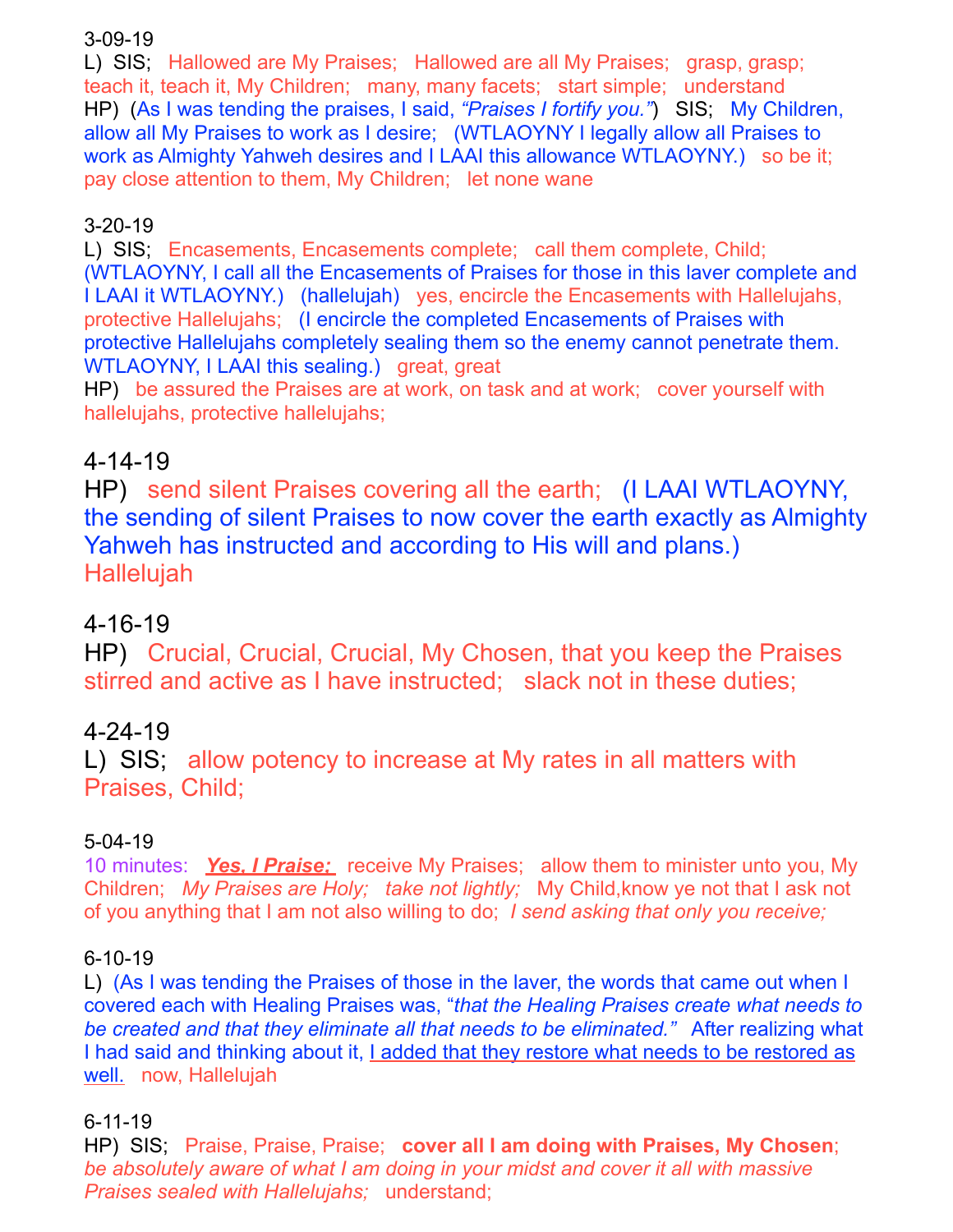### 3-09-19

L) SIS; Hallowed are My Praises; Hallowed are all My Praises; grasp, grasp; teach it, teach it, My Children; many, many facets; start simple; understand HP) (As I was tending the praises, I said, *"Praises I fortify you."*) SIS; My Children, allow all My Praises to work as I desire; (WTLAOYNY I legally allow all Praises to work as Almighty Yahweh desires and I LAAI this allowance WTLAOYNY.) so be it; pay close attention to them, My Children; let none wane

# 3-20-19

L) SIS; Encasements, Encasements complete; call them complete, Child; (WTLAOYNY, I call all the Encasements of Praises for those in this laver complete and I LAAI it WTLAOYNY.) (hallelujah) yes, encircle the Encasements with Hallelujahs, protective Hallelujahs; (I encircle the completed Encasements of Praises with protective Hallelujahs completely sealing them so the enemy cannot penetrate them. WTLAOYNY, I LAAI this sealing.) great, great

HP) be assured the Praises are at work, on task and at work; cover yourself with hallelujahs, protective hallelujahs;

# 4-14-19

HP) send silent Praises covering all the earth; (I LAAI WTLAOYNY, the sending of silent Praises to now cover the earth exactly as Almighty Yahweh has instructed and according to His will and plans.) Hallelujah

# 4-16-19

HP) Crucial, Crucial, Crucial, My Chosen, that you keep the Praises stirred and active as I have instructed; slack not in these duties;

# 4-24-19

L) SIS; allow potency to increase at My rates in all matters with Praises, Child;

### 5-04-19

10 minutes: *Yes, I Praise;* receive My Praises; allow them to minister unto you, My Children; *My Praises are Holy; take not lightly;* My Child,know ye not that I ask not of you anything that I am not also willing to do; *I send asking that only you receive;* 

### 6-10-19

L) (As I was tending the Praises of those in the laver, the words that came out when I covered each with Healing Praises was, "*that the Healing Praises create what needs to be created and that they eliminate all that needs to be eliminated."* After realizing what I had said and thinking about it, I added that they restore what needs to be restored as well. now, Hallelujah

# 6-11-19

HP) SIS; Praise, Praise, Praise; **cover all I am doing with Praises, My Chosen**; *be absolutely aware of what I am doing in your midst and cover it all with massive Praises sealed with Hallelujahs;* understand;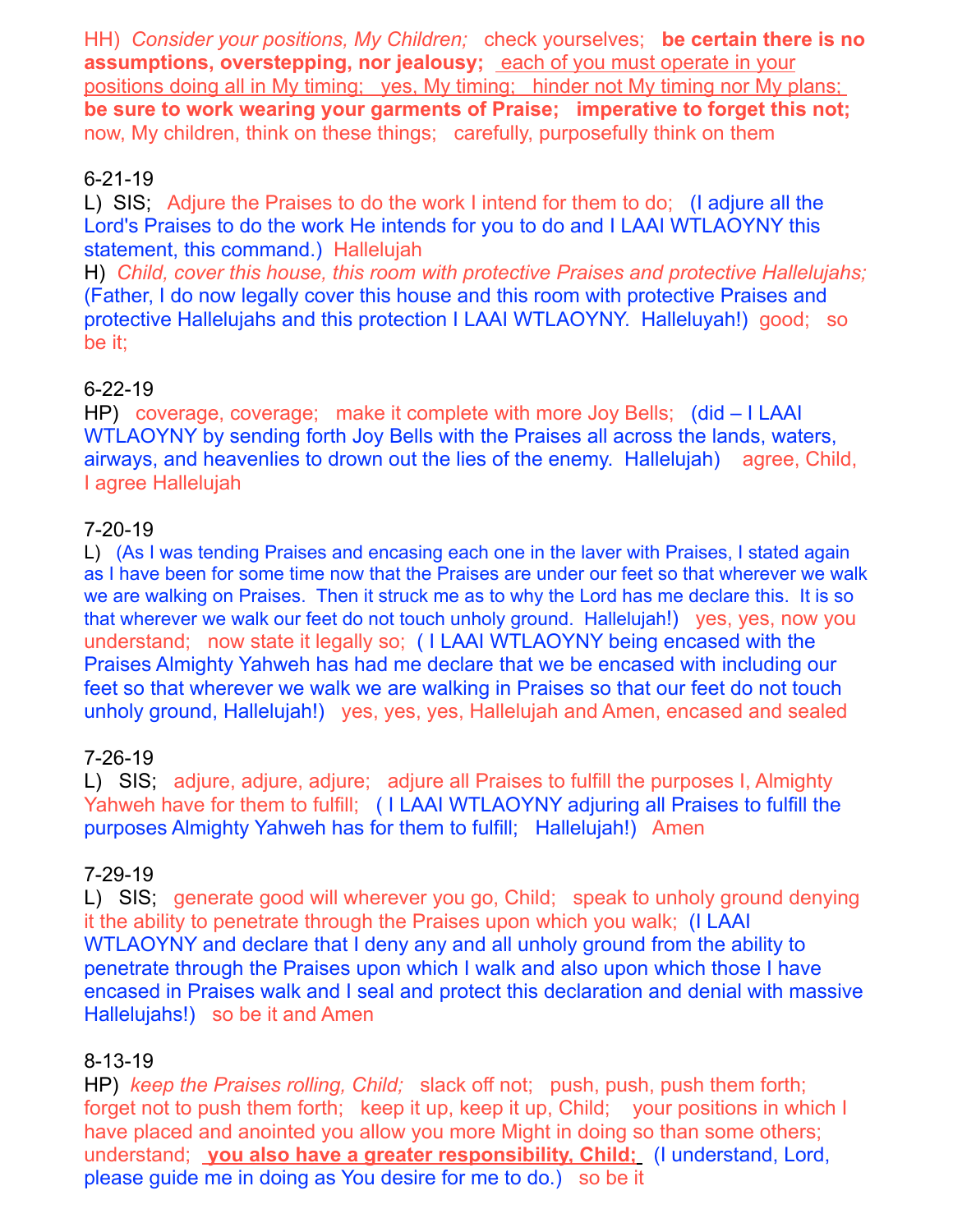HH) *Consider your positions, My Children;* check yourselves; **be certain there is no assumptions, overstepping, nor jealousy;** each of you must operate in your positions doing all in My timing; yes, My timing; hinder not My timing nor My plans; **be sure to work wearing your garments of Praise; imperative to forget this not;** now, My children, think on these things; carefully, purposefully think on them

### 6-21-19

L) SIS; Adjure the Praises to do the work I intend for them to do; (I adjure all the Lord's Praises to do the work He intends for you to do and I LAAI WTLAOYNY this statement, this command.) Hallelujah

H) *Child, cover this house, this room with protective Praises and protective Hallelujahs;*  (Father, I do now legally cover this house and this room with protective Praises and protective Hallelujahs and this protection I LAAI WTLAOYNY. Halleluyah!) good; so be it;

### 6-22-19

HP) coverage, coverage; make it complete with more Joy Bells; (did – I LAAI WTLAOYNY by sending forth Joy Bells with the Praises all across the lands, waters, airways, and heavenlies to drown out the lies of the enemy. Hallelujah) agree, Child, I agree Hallelujah

### 7-20-19

L) (As I was tending Praises and encasing each one in the laver with Praises, I stated again as I have been for some time now that the Praises are under our feet so that wherever we walk we are walking on Praises. Then it struck me as to why the Lord has me declare this. It is so that wherever we walk our feet do not touch unholy ground. Hallelujah!) yes, yes, now you understand; now state it legally so; ( I LAAI WTLAOYNY being encased with the Praises Almighty Yahweh has had me declare that we be encased with including our feet so that wherever we walk we are walking in Praises so that our feet do not touch unholy ground, Hallelujah!) yes, yes, yes, Hallelujah and Amen, encased and sealed

### 7-26-19

L) SIS; adjure, adjure, adjure; adjure all Praises to fulfill the purposes I, Almighty Yahweh have for them to fulfill; ( I LAAI WTLAOYNY adjuring all Praises to fulfill the purposes Almighty Yahweh has for them to fulfill; Hallelujah!) Amen

### 7-29-19

L) SIS; generate good will wherever you go, Child; speak to unholy ground denying it the ability to penetrate through the Praises upon which you walk; (I LAAI WTLAOYNY and declare that I deny any and all unholy ground from the ability to penetrate through the Praises upon which I walk and also upon which those I have encased in Praises walk and I seal and protect this declaration and denial with massive Hallelujahs!) so be it and Amen

### 8-13-19

HP) *keep the Praises rolling, Child;* slack off not; push, push, push them forth; forget not to push them forth; keep it up, keep it up, Child; your positions in which I have placed and anointed you allow you more Might in doing so than some others; understand; **you also have a greater responsibility, Child;** (I understand, Lord, please guide me in doing as You desire for me to do.) so be it